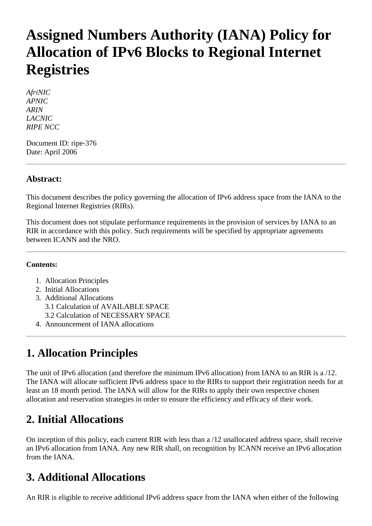# **Assigned Numbers Authority (IANA) Policy for Allocation of IPv6 Blocks to Regional Internet Registries**

*AfriNIC APNIC ARIN LACNIC RIPE NCC*

Document ID: ripe-376 Date: April 2006

#### **Abstract:**

This document describes the policy governing the allocation of IPv6 address space from the IANA to the Regional Internet Registries (RIRs).

This document does not stipulate performance requirements in the provision of services by IANA to an RIR in accordance with this policy. Such requirements will be specified by appropriate agreements between ICANN and the NRO.

#### **Contents:**

- 1. Allocation Principles
- 2. Initial Allocations
- Additional Allocations 3. 3.1 Calculation of AVAILABLE SPACE
	- 3.2 Calculation of NECESSARY SPACE
- 4. Announcement of IANA allocations

# **1. Allocation Principles**

The unit of IPv6 allocation (and therefore the minimum IPv6 allocation) from IANA to an RIR is a /12. The IANA will allocate sufficient IPv6 address space to the RIRs to support their registration needs for at least an 18 month period. The IANA will allow for the RIRs to apply their own respective chosen allocation and reservation strategies in order to ensure the efficiency and efficacy of their work.

## **2. Initial Allocations**

On inception of this policy, each current RIR with less than a /12 unallocated address space, shall receive an IPv6 allocation from IANA. Any new RIR shall, on recognition by ICANN receive an IPv6 allocation from the IANA.

## **3. Additional Allocations**

An RIR is eligible to receive additional IPv6 address space from the IANA when either of the following